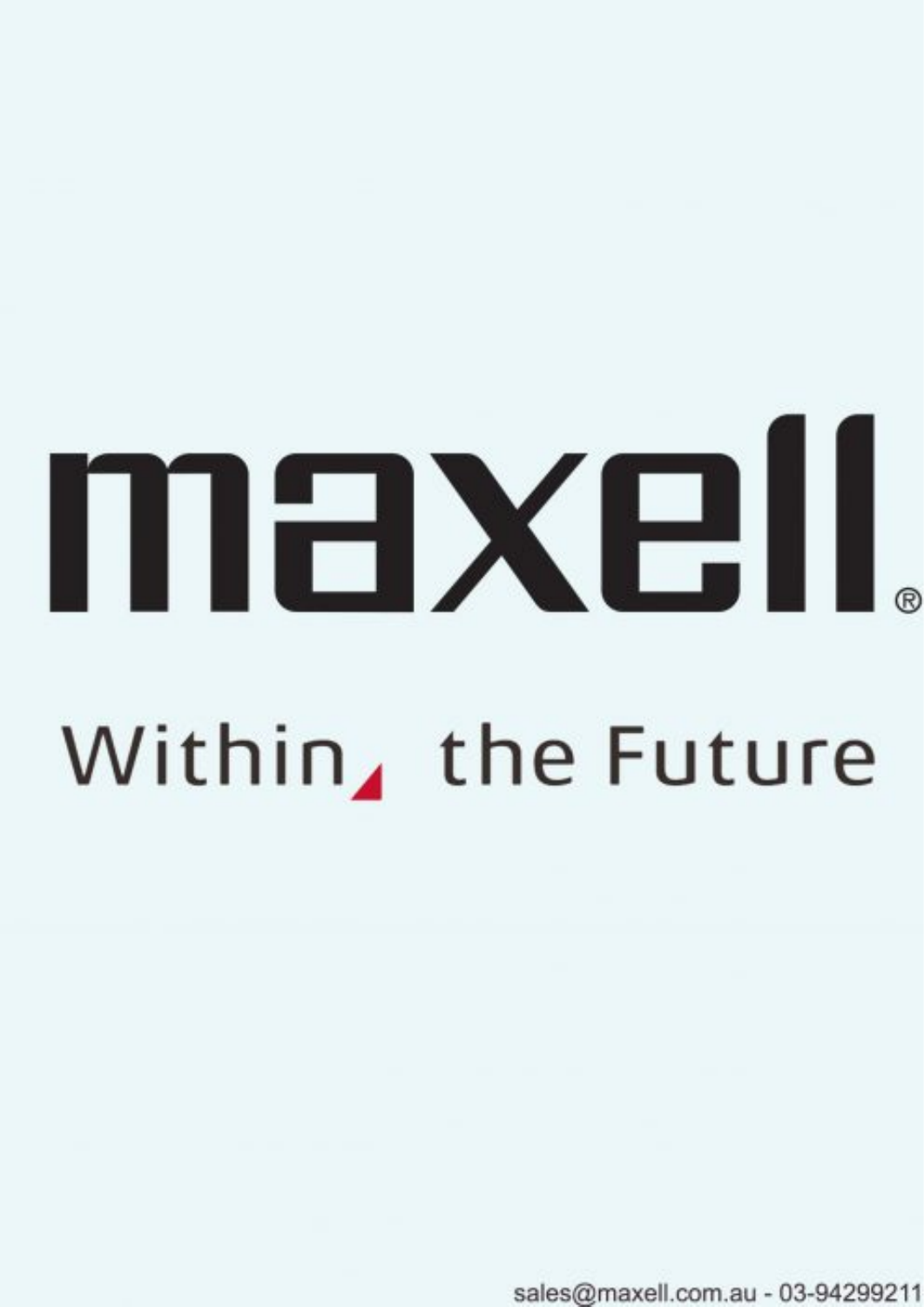# maxell Within, the Future

sales@maxell.com.au - 03-94299211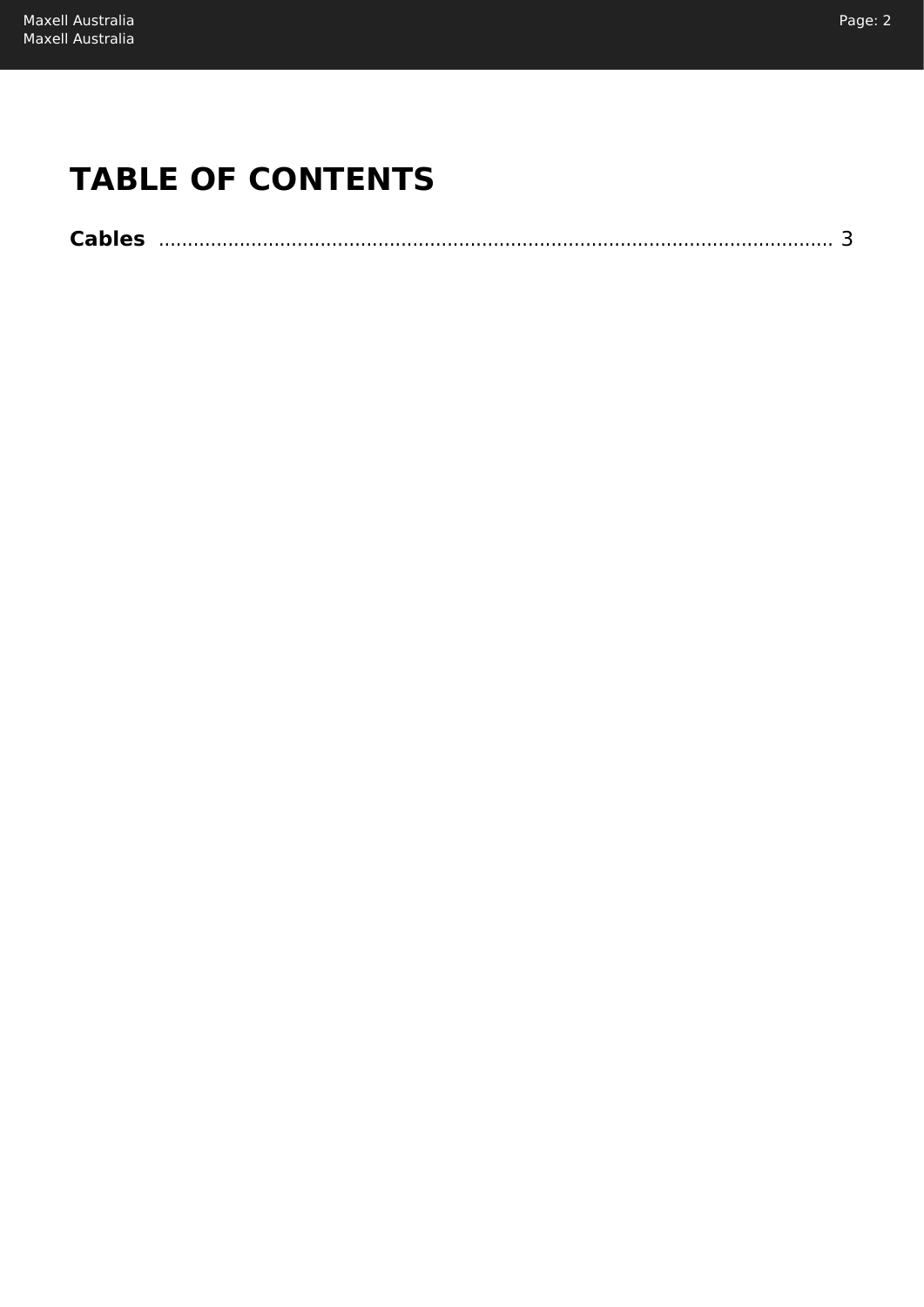# **TABLE OF CONTENTS**

| <b>Cables</b> |  |
|---------------|--|
|---------------|--|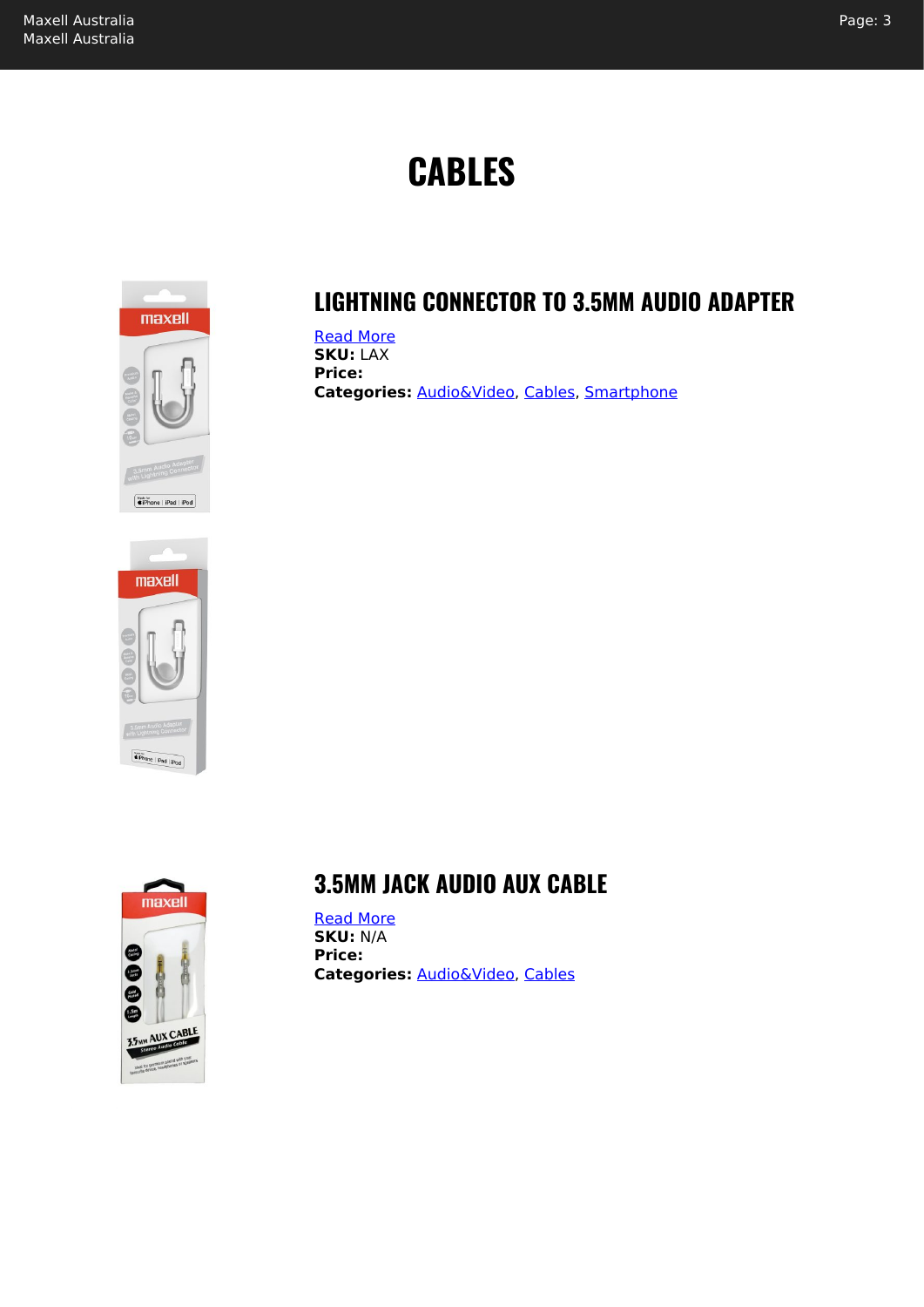# **CABLES**

<span id="page-2-0"></span>

#### **LIGHTNING CONNECTOR TO 3.5MM AUDIO ADAPTER**

[Read More](https://maxell.com.au/shop/cables/audiovideo/lightning-connector-to-3-5mm-audio-adapter/) **SKU:** LAX **Price: Categories:** [Audio&Video,](https://maxell.com.au/product-category/cables/audiovideo/) [Cables,](https://maxell.com.au/product-category/cables/) [Smartphone](https://maxell.com.au/product-category/cables/smartphone/)





#### **3.5MM JACK AUDIO AUX CABLE**

[Read More](https://maxell.com.au/shop/cables/audiovideo/3-5mm-audio-aux-cable/) **SKU:** N/A **Price: Categories:** [Audio&Video,](https://maxell.com.au/product-category/cables/audiovideo/) [Cables](https://maxell.com.au/product-category/cables/)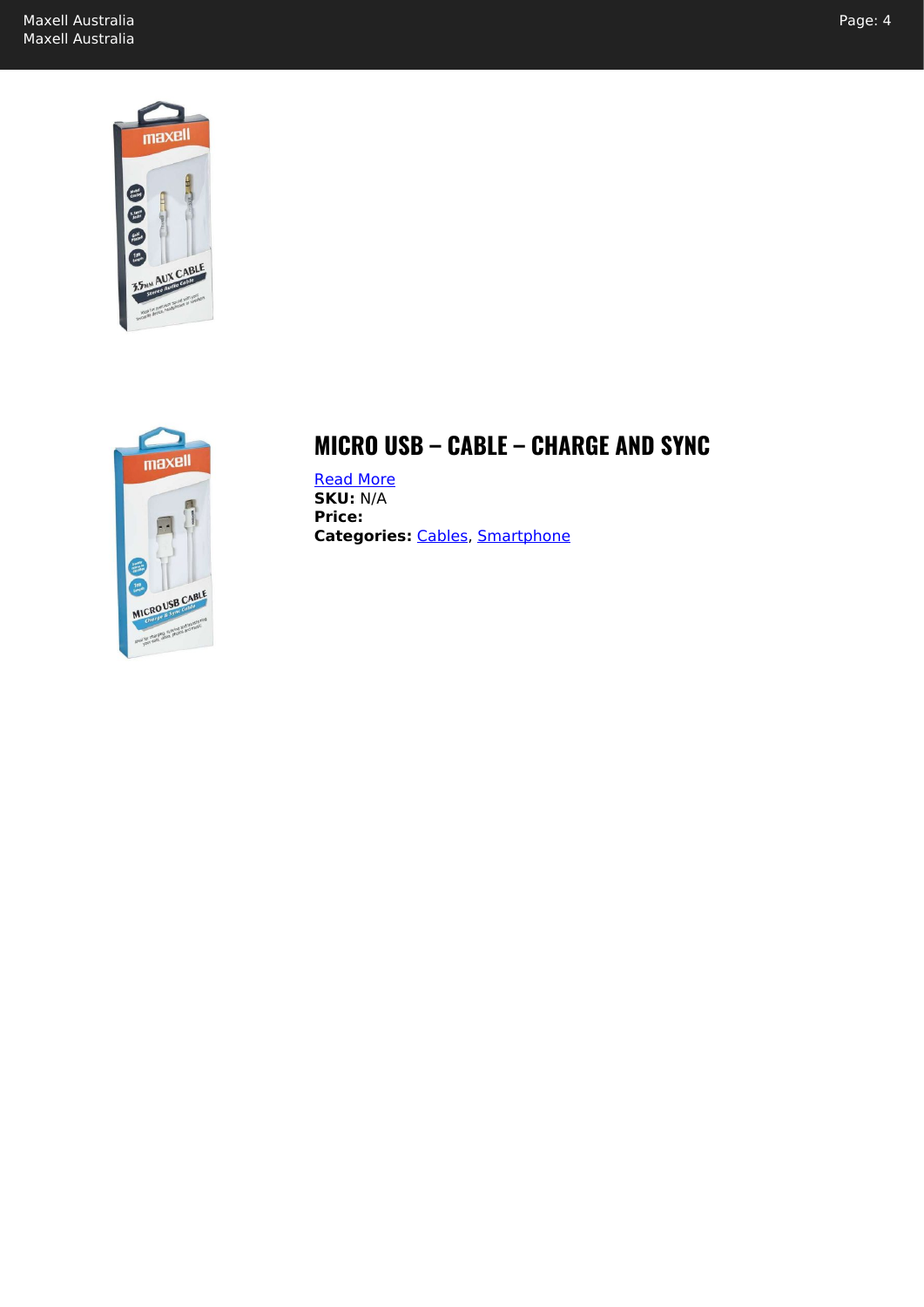



#### **MICRO USB – CABLE – CHARGE AND SYNC**

[Read More](https://maxell.com.au/shop/cables/smartphone/micro-usb-cable-charge-and-sync/) **SKU:** N/A **Price: Categories:** [Cables,](https://maxell.com.au/product-category/cables/) [Smartphone](https://maxell.com.au/product-category/cables/smartphone/)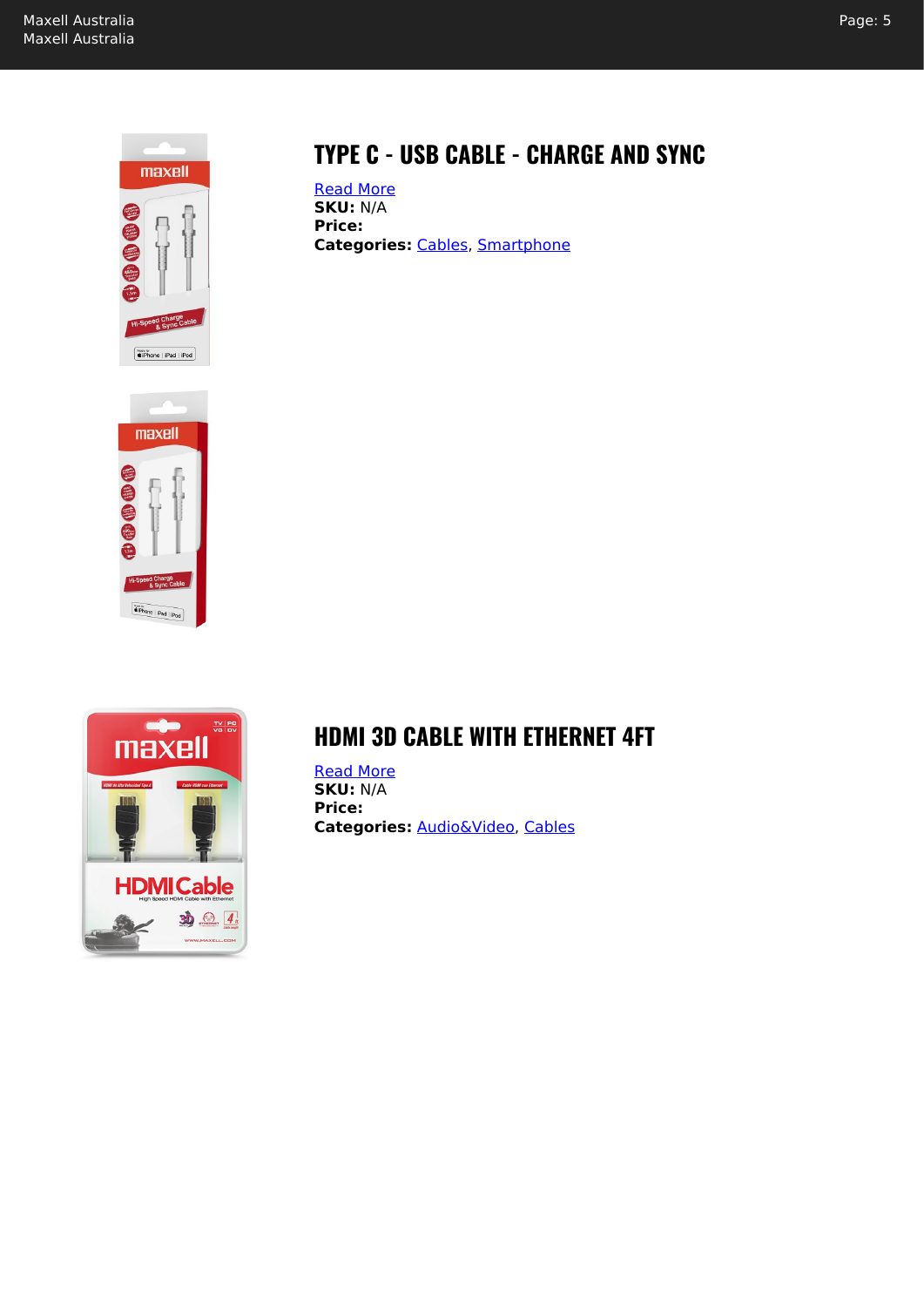Page: 5



## **TYPE C - USB CABLE - CHARGE AND SYNC**

[Read More](https://maxell.com.au/shop/cables/smartphone/type-c-usb-cable/) **SKU:** N/A **Price: Categories:** [Cables,](https://maxell.com.au/product-category/cables/) [Smartphone](https://maxell.com.au/product-category/cables/smartphone/)





#### **HDMI 3D CABLE WITH ETHERNET 4FT**

[Read More](https://maxell.com.au/shop/cables/audiovideo/cable-hdmi-with-ethernet-3d-compatible/) **SKU:** N/A **Price: Categories:** [Audio&Video,](https://maxell.com.au/product-category/cables/audiovideo/) [Cables](https://maxell.com.au/product-category/cables/)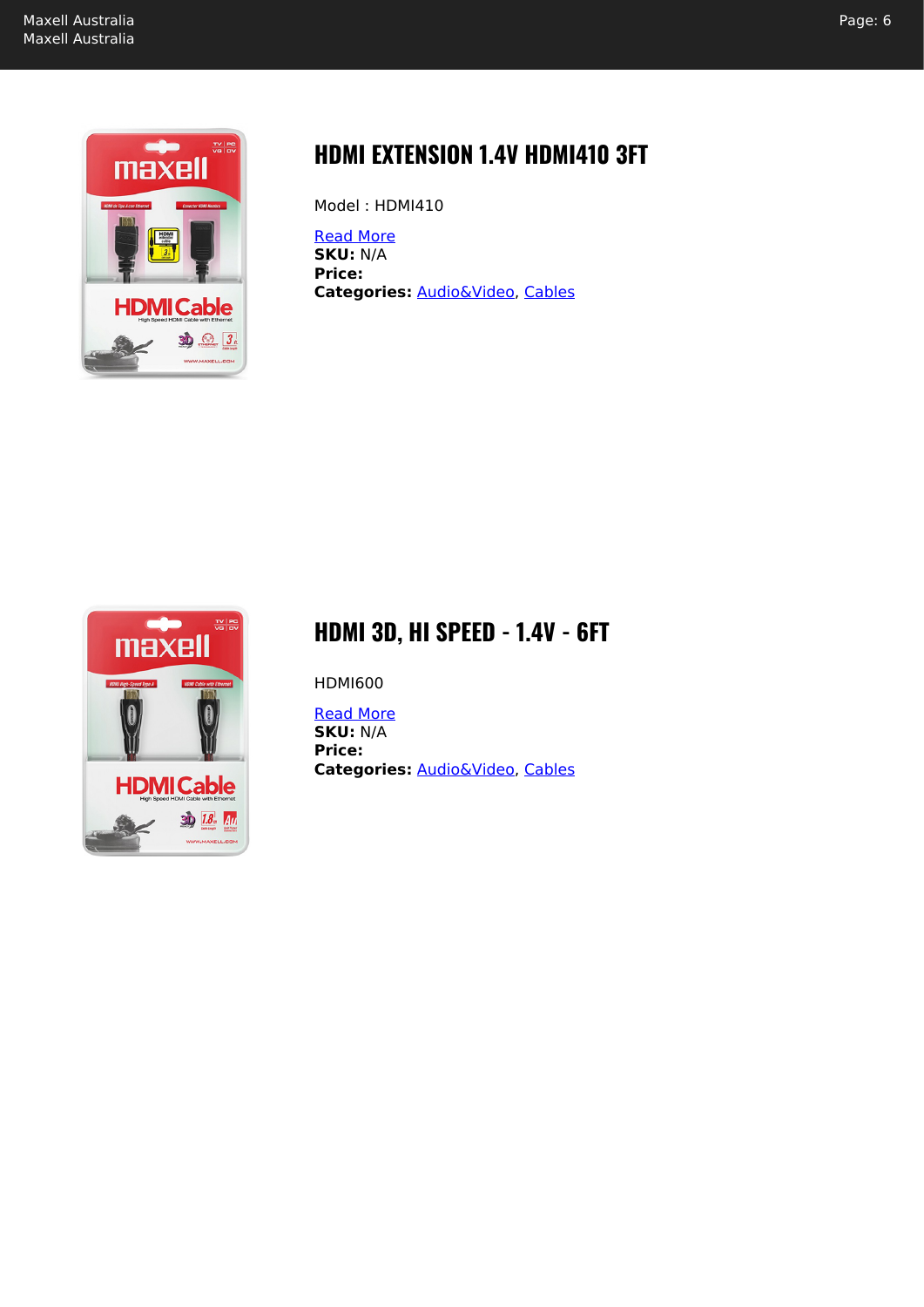

## **HDMI EXTENSION 1.4V HDMI410 3FT**

Model : HDMI410

[Read More](https://maxell.com.au/shop/cables/audiovideo/hdmi-extension-3ft-1-4v-hdmi410/) **SKU:** N/A **Price: Categories:** [Audio&Video,](https://maxell.com.au/product-category/cables/audiovideo/) [Cables](https://maxell.com.au/product-category/cables/)



#### **HDMI 3D, HI SPEED - 1.4V - 6FT**

HDMI600

[Read More](https://maxell.com.au/shop/cables/audiovideo/hdmi-3d-hi-speed-6ft-1-4v/) **SKU:** N/A **Price: Categories:** [Audio&Video,](https://maxell.com.au/product-category/cables/audiovideo/) [Cables](https://maxell.com.au/product-category/cables/)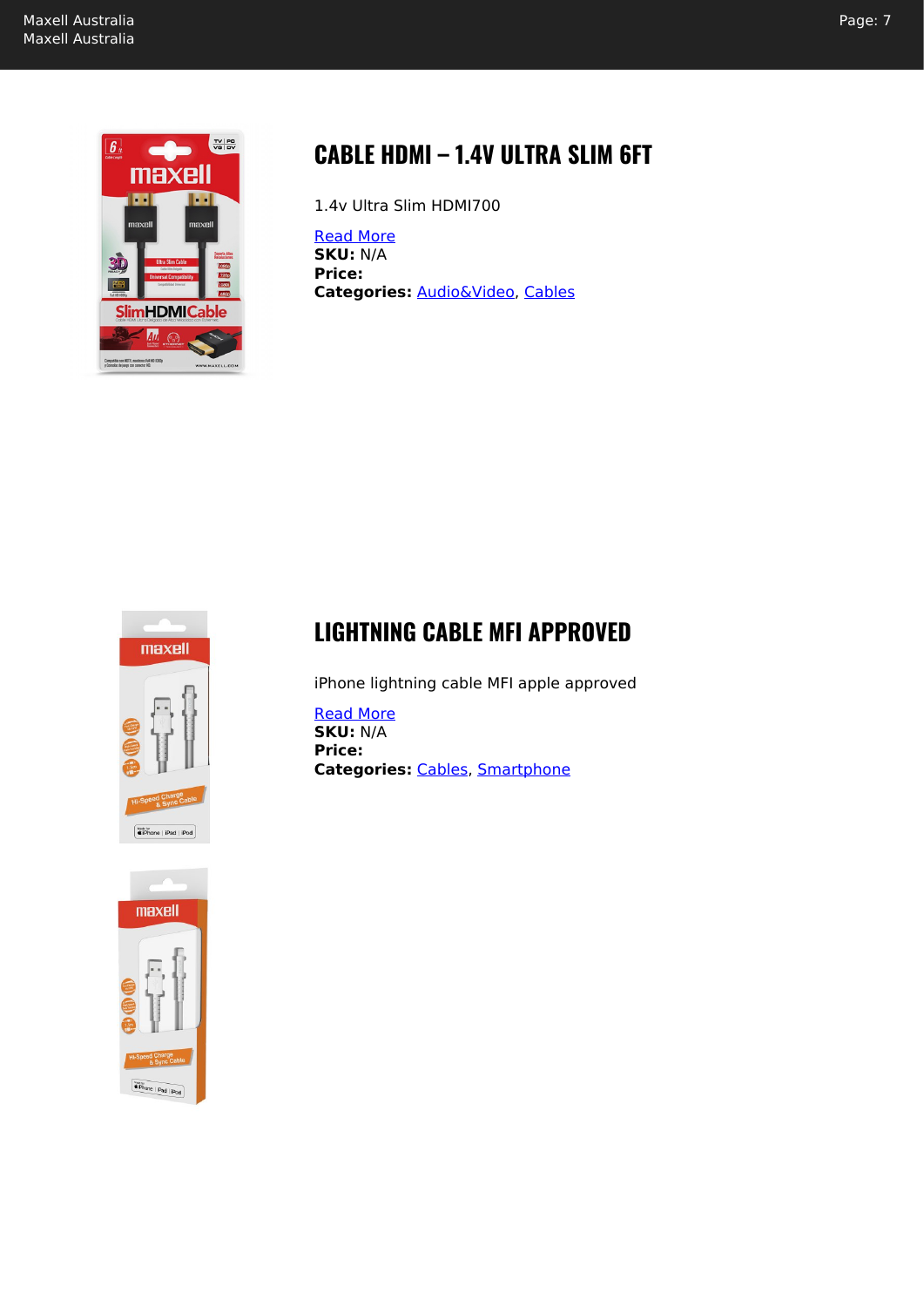

#### **CABLE HDMI – 1.4V ULTRA SLIM 6FT**

1.4v Ultra Slim HDMI700

[Read More](https://maxell.com.au/shop/cables/audiovideo/cable-hdmi-1-4v-ultra-slim-hdmi700/) **SKU:** N/A **Price: Categories:** [Audio&Video,](https://maxell.com.au/product-category/cables/audiovideo/) [Cables](https://maxell.com.au/product-category/cables/)



#### **LIGHTNING CABLE MFI APPROVED**

iPhone lightning cable MFI apple approved

[Read More](https://maxell.com.au/shop/cables/smartphone/lightning-charging-and-data-sync-cable/) **SKU:** N/A **Price: Categories:** [Cables,](https://maxell.com.au/product-category/cables/) [Smartphone](https://maxell.com.au/product-category/cables/smartphone/)